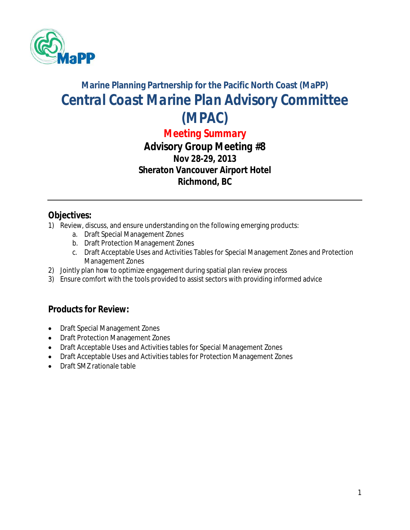

# **Marine Planning Partnership for the Pacific North Coast (MaPP)** *Central Coast Marine Plan Advisory Committee (MPAC)*

*Meeting Summary*

*Advisory Group Meeting #8* **Nov 28-29, 2013 Sheraton Vancouver Airport Hotel Richmond, BC**

### **Objectives:**

- 1) Review, discuss, and ensure understanding on the following emerging products:
	- a. Draft Special Management Zones
	- b. Draft Protection Management Zones
	- c. Draft Acceptable Uses and Activities Tables for Special Management Zones and Protection Management Zones
- 2) Jointly plan how to optimize engagement during spatial plan review process
- 3) Ensure comfort with the tools provided to assist sectors with providing informed advice

### **Products for Review:**

- Draft Special Management Zones
- Draft Protection Management Zones
- Draft Acceptable Uses and Activities tables for Special Management Zones
- Draft Acceptable Uses and Activities tables for Protection Management Zones
- Draft SM7 rationale table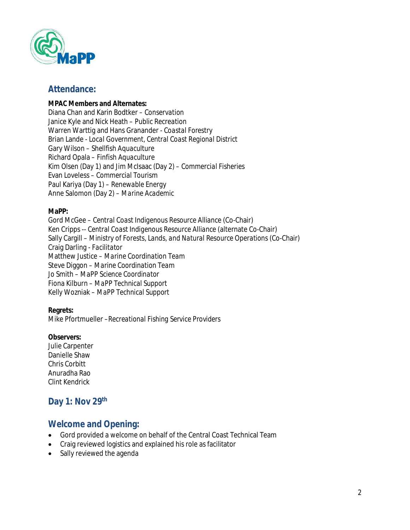

#### **Attendance:**

#### **MPAC Members and Alternates:**

Diana Chan and Karin Bodtker – *Conservation* Janice Kyle and Nick Heath – *Public Recreation* Warren Warttig and Hans Granander - *Coastal Forestry* Brian Lande - *Local Government, Central Coast Regional District* Gary Wilson *– Shellfish Aquaculture*  Richard Opala – *Finfish Aquaculture* Kim Olsen (Day 1) and Jim McIsaac (Day 2) *– Commercial Fisheries* Evan Loveless *– Commercial Tourism* Paul Kariya (Day 1) *– Renewable Energy* Anne Salomon (Day 2) *– Marine Academic*

#### **MaPP:**

Gord McGee – *Central Coast Indigenous Resource Alliance* (Co-Chair) Ken Cripps -- *Central Coast Indigenous Resource Alliance* (alternate Co-Chair) Sally Cargill – *Ministry of Forests, Lands, and Natural Resource Operations* (Co-Chair) Craig Darling *- Facilitator* Matthew Justice – *Marine Coordination Team*  Steve Diggon – *Marine Coordination Team*  Jo Smith – *MaPP Science Coordinator*  Fiona Kilburn – *MaPP Technical Support* Kelly Wozniak – *MaPP Technical Support*

#### **Regrets:**

Mike Pfortmueller –*Recreational Fishing Service Providers*

#### **Observers:**

Julie Carpenter Danielle Shaw Chris Corbitt Anuradha Rao Clint Kendrick

### **Day 1: Nov 29th**

#### **Welcome and Opening:**

- Gord provided a welcome on behalf of the Central Coast Technical Team
- Craig reviewed logistics and explained his role as facilitator
- Sally reviewed the agenda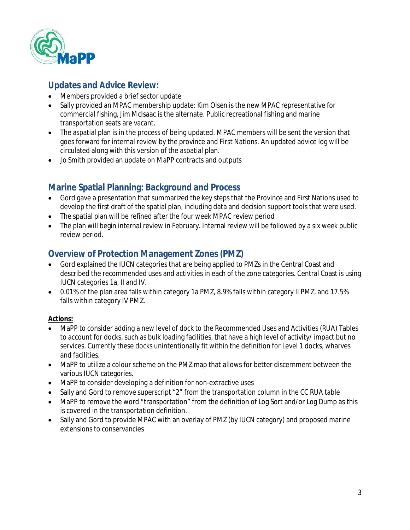

## **Updates and Advice Review:**

- Members provided a brief sector update
- Sally provided an MPAC membership update: Kim Olsen is the new MPAC representative for commercial fishing, Jim McIsaac is the alternate. Public recreational fishing and marine transportation seats are vacant.
- The aspatial plan is in the process of being updated. MPAC members will be sent the version that goes forward for internal review by the province and First Nations. An updated advice log will be circulated along with this version of the aspatial plan.
- Jo Smith provided an update on MaPP contracts and outputs

### **Marine Spatial Planning: Background and Process**

- Gord gave a presentation that summarized the key steps that the Province and First Nations used to develop the first draft of the spatial plan, including data and decision support tools that were used.
- The spatial plan will be refined after the four week MPAC review period
- The plan will begin internal review in February. Internal review will be followed by a six week public review period.

### **Overview of Protection Management Zones (PMZ)**

- Gord explained the IUCN categories that are being applied to PMZs in the Central Coast and described the recommended uses and activities in each of the zone categories. Central Coast is using IUCN categories 1a, II and IV.
- 0.01% of the plan area falls within category 1a PMZ, 8.9% falls within category II PMZ, and 17.5% falls within category IV PMZ.

#### **Actions:**

- MaPP to consider adding a new level of dock to the Recommended Uses and Activities (RUA) Tables to account for docks, such as bulk loading facilities, that have a high level of activity/ impact but no services. Currently these docks unintentionally fit within the definition for Level 1 docks, wharves and facilities.
- MaPP to utilize a colour scheme on the PMZ map that allows for better discernment between the various IUCN categories.
- MaPP to consider developing a definition for non-extractive uses
- Sally and Gord to remove superscript "2" from the transportation column in the CC RUA table
- MaPP to remove the word "transportation" from the definition of Log Sort and/or Log Dump as this is covered in the transportation definition.
- Sally and Gord to provide MPAC with an overlay of PMZ (by IUCN category) and proposed marine extensions to conservancies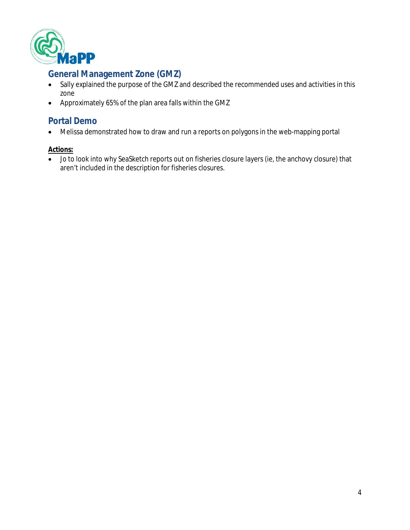

# **General Management Zone (GMZ)**

- Sally explained the purpose of the GMZ and described the recommended uses and activities in this zone
- Approximately 65% of the plan area falls within the GMZ

### **Portal Demo**

Melissa demonstrated how to draw and run a reports on polygons in the web-mapping portal

#### **Actions:**

 Jo to look into why SeaSketch reports out on fisheries closure layers (ie, the anchovy closure) that aren't included in the description for fisheries closures.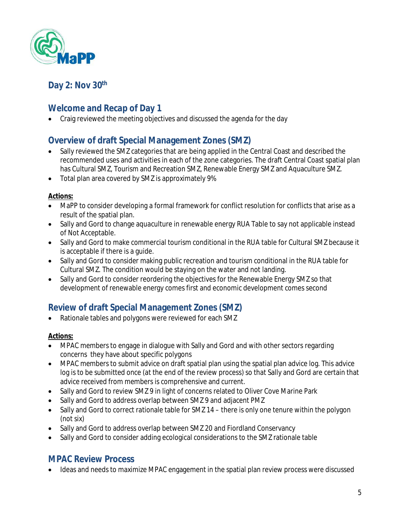

# **Day 2: Nov 30th**

# **Welcome and Recap of Day 1**

• Craig reviewed the meeting objectives and discussed the agenda for the day

# **Overview of draft Special Management Zones (SMZ)**

- Sally reviewed the SMZ categories that are being applied in the Central Coast and described the recommended uses and activities in each of the zone categories. The draft Central Coast spatial plan has Cultural SMZ, Tourism and Recreation SMZ, Renewable Energy SMZ and Aquaculture SMZ.
- Total plan area covered by SMZ is approximately 9%

#### **Actions:**

- MaPP to consider developing a formal framework for conflict resolution for conflicts that arise as a result of the spatial plan.
- Sally and Gord to change aquaculture in renewable energy RUA Table to say not applicable instead of Not Acceptable.
- Sally and Gord to make commercial tourism conditional in the RUA table for Cultural SMZ because it is acceptable if there is a guide.
- Sally and Gord to consider making public recreation and tourism conditional in the RUA table for Cultural SMZ. The condition would be staying on the water and not landing.
- Sally and Gord to consider reordering the objectives for the Renewable Energy SMZ so that development of renewable energy comes first and economic development comes second

### **Review of draft Special Management Zones (SMZ)**

• Rationale tables and polygons were reviewed for each SMZ

#### **Actions:**

- MPAC members to engage in dialogue with Sally and Gord and with other sectors regarding concerns they have about specific polygons
- MPAC members to submit advice on draft spatial plan using the spatial plan advice log. This advice log is to be submitted once (at the end of the review process) so that Sally and Gord are certain that advice received from members is comprehensive and current.
- Sally and Gord to review SMZ 9 in light of concerns related to Oliver Cove Marine Park
- Sally and Gord to address overlap between SMZ 9 and adjacent PMZ
- Sally and Gord to correct rationale table for SMZ 14 there is only one tenure within the polygon (not six)
- Sally and Gord to address overlap between SMZ 20 and Fiordland Conservancy
- Sally and Gord to consider adding ecological considerations to the SMZ rationale table

### **MPAC Review Process**

Ideas and needs to maximize MPAC engagement in the spatial plan review process were discussed